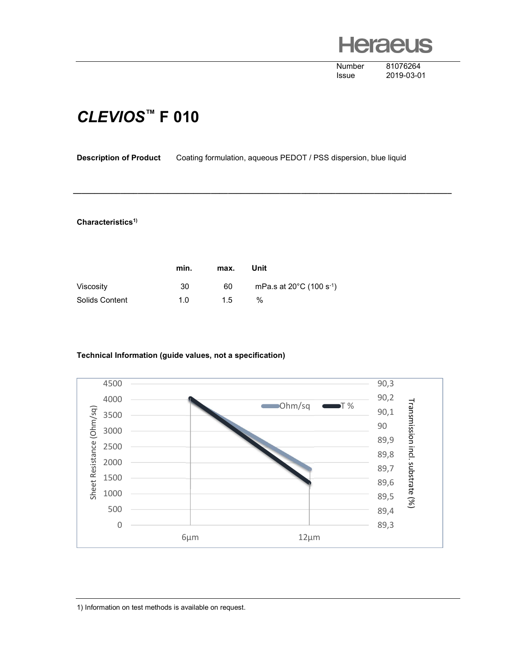**Heraeus** 

Number 81076264

Issue 2019-03-01

## CLEVIOS™ F 010

Description of Product Coating formulation, aqueous PEDOT / PSS dispersion, blue liquid

\_\_\_\_\_\_\_\_\_\_\_\_\_\_\_\_\_\_\_\_\_\_\_\_\_\_\_\_\_\_\_\_\_\_\_\_\_\_\_\_\_\_\_\_\_\_\_\_\_\_\_\_\_\_\_\_\_\_\_\_\_\_\_\_\_\_\_\_\_\_\_\_\_\_\_\_\_\_\_\_\_\_\_\_\_\_\_\_

## Characteristics<sup>1)</sup>

|                | min. | max. | Unit                                           |
|----------------|------|------|------------------------------------------------|
| Viscosity      | 30   | 60   | mPa.s at $20^{\circ}$ C (100 s <sup>-1</sup> ) |
| Solids Content | 1 N  | 15   | $\frac{0}{0}$                                  |

## Technical Information (guide values, not a specification)



1) Information on test methods is available on request.